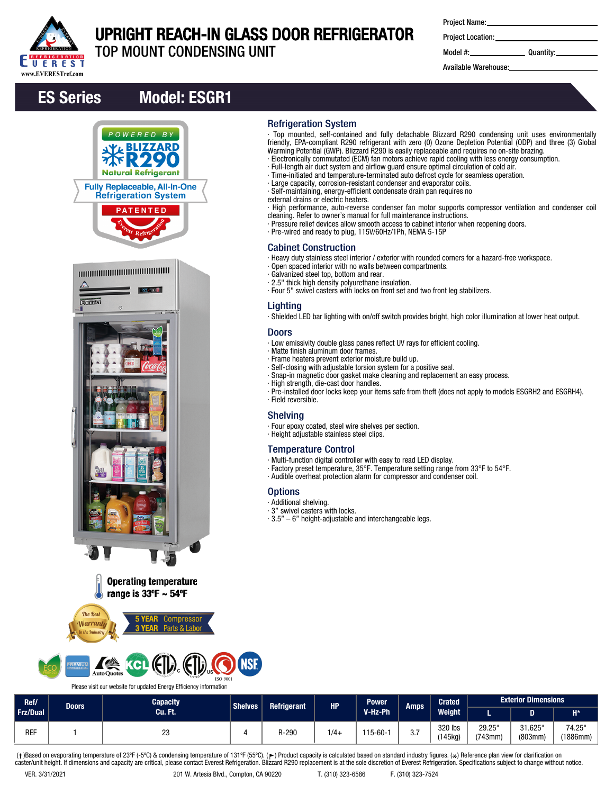

# UPRIGHT REACH-IN GLASS DOOR REFRIGERATOR

TOP MOUNT CONDENSING UNIT

| <b>Project Name:</b> |  |
|----------------------|--|
|----------------------|--|

Project Location:

Model #: Quantity:

Available Warehouse:

# ES Series Model: ESGR1



## Refrigeration System

- ∙ Top mounted, self-contained and fully detachable Blizzard R290 condensing unit uses environmentally friendly, EPA-compliant R290 refrigerant with zero (0) Ozone Depletion Potential (ODP) and three (3) Global Warming Potential (GWP). Blizzard R290 is easily replaceable and requires no on-site brazing.
- ∙ Electronically commutated (ECM) fan motors achieve rapid cooling with less energy consumption.
- ∙ Full-length air duct system and airflow guard ensure optimal circulation of cold air.
- ∙ Time-initiated and temperature-terminated auto defrost cycle for seamless operation. ∙ Large capacity, corrosion-resistant condenser and evaporator coils.
- ∙ Self-maintaining, energy-efficient condensate drain pan requires no
- external drains or electric heaters.
- ∙ High performance, auto-reverse condenser fan motor supports compressor ventilation and condenser coil cleaning. Refer to owner's manual for full maintenance instructions.
- ∙ Pressure relief devices allow smooth access to cabinet interior when reopening doors.
- ∙ Pre-wired and ready to plug, 115V/60Hz/1Ph, NEMA 5-15P

#### Cabinet Construction

∙ Heavy duty stainless steel interior / exterior with rounded corners for a hazard-free workspace.

- ∙ Open spaced interior with no walls between compartments.
- ∙ Galvanized steel top, bottom and rear.
- ∙ 2.5" thick high density polyurethane insulation.
- ∙ Four 5" swivel casters with locks on front set and two front leg stabilizers.

## Lighting

∙ Shielded LED bar lighting with on/off switch provides bright, high color illumination at lower heat output.

#### Doors

- ∙ Low emissivity double glass panes reflect UV rays for efficient cooling.
- ∙ Matte finish aluminum door frames.
- ∙ Frame heaters prevent exterior moisture build up.
- ∙ Self-closing with adjustable torsion system for a positive seal.
- ∙ Snap-in magnetic door gasket make cleaning and replacement an easy process.
- ∙ High strength, die-cast door handles.
- ∙ Pre-installed door locks keep your items safe from theft (does not apply to models ESGRH2 and ESGRH4). ∙ Field reversible.

#### Shelving

- ∙ Four epoxy coated, steel wire shelves per section.
- ∙ Height adjustable stainless steel clips.

## Temperature Control

- ∙ Multi-function digital controller with easy to read LED display.
- ∙ Factory preset temperature, 35°F. Temperature setting range from 33°F to 54°F.
- ∙ Audible overheat protection alarm for compressor and condenser coil.

## **Options**

- ∙ Additional shelving.
- ∙ 3" swivel casters with locks.
- ∙ 3.5" 6" height-adjustable and interchangeable legs.



Compressor

Parts & Labo

**The Bes** 

*<u>Marranti</u>* 

Please visit our website for updated Energy Efficiency information

| Ref/       | <b>Doors</b> | Capacity | Shelves <sup>1</sup> | <b>Refrigerant</b> | <b>HP</b> | <b>Power</b>   | Amps              |                  | <b>Crated</b>     | <b>Exterior Dimensions</b> |                    |  |
|------------|--------------|----------|----------------------|--------------------|-----------|----------------|-------------------|------------------|-------------------|----------------------------|--------------------|--|
| Frz/Dual   |              | Cu. Ft.  |                      |                    |           | V-Hz-Ph        |                   | Weight           |                   |                            | $H^*$              |  |
| <b>REF</b> |              | nn<br>دے |                      | R-290              | $1/4 -$   | $115 - 60 - 1$ | $\sim$ $-$<br>ں.ر | 320 lbs<br>45kg) | 29.25"<br>(743mm) | 31.625<br>(803mm)          | 74.25"<br>(1886mm) |  |

(†)Based on evaporating temperature of 23ºF (-5ºC) & condensing temperature of 131ºF (55ºC). (ך) Product capacity is calculated based on standard industry figures. (\*) Reference plan view for clarification on<br>caster/unit h